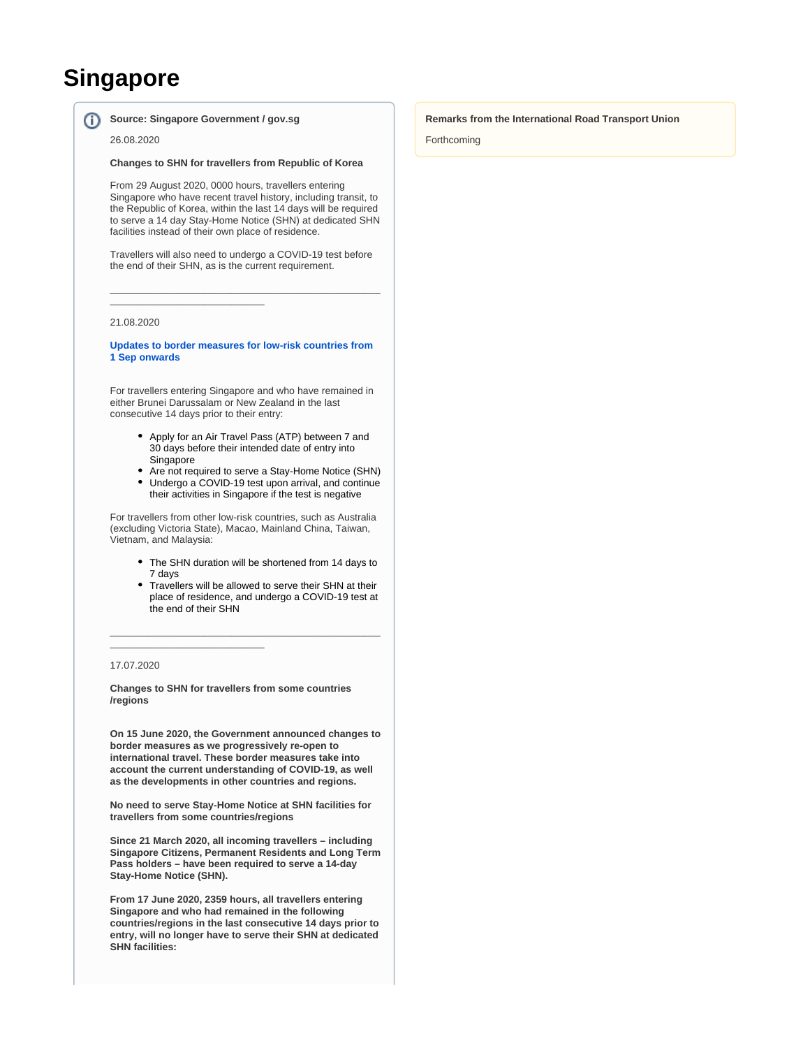# **Singapore**

⋒

## **Source: Singapore Government / gov.sg**

\_\_\_\_\_\_\_\_\_\_\_\_\_\_\_\_\_\_\_\_\_\_\_\_\_\_\_\_

26.08.2020

#### **Changes to SHN for travellers from Republic of Korea**

From 29 August 2020, 0000 hours, travellers entering Singapore who have recent travel history, including transit, to the Republic of Korea, within the last 14 days will be required to serve a 14 day Stay-Home Notice (SHN) at dedicated SHN facilities instead of their own place of residence.

Travellers will also need to undergo a COVID-19 test before the end of their SHN, as is the current requirement.

\_\_\_\_\_\_\_\_\_\_\_\_\_\_\_\_\_\_\_\_\_\_\_\_\_\_\_\_\_\_\_\_\_\_\_\_\_\_\_\_\_\_\_\_\_\_\_\_\_

## 21.08.2020

**[Updates to border measures for low-risk countries from](https://www.gov.sg/article/updates-to-border-measures-for-low-risk-countries-from-1-sep)  [1 Sep onwards](https://www.gov.sg/article/updates-to-border-measures-for-low-risk-countries-from-1-sep)**

For travellers entering Singapore and who have remained in either Brunei Darussalam or New Zealand in the last consecutive 14 days prior to their entry:

- Apply for an Air Travel Pass (ATP) between 7 and 30 days before their intended date of entry into Singapore
- $\bullet$ Are not required to serve a Stay-Home Notice (SHN)
- Undergo a COVID-19 test upon arrival, and continue their activities in Singapore if the test is negative

For travellers from other low-risk countries, such as Australia (excluding Victoria State), Macao, Mainland China, Taiwan, Vietnam, and Malaysia:

- The SHN duration will be shortened from 14 days to 7 days
- Travellers will be allowed to serve their SHN at their place of residence, and undergo a COVID-19 test at the end of their SHN

\_\_\_\_\_\_\_\_\_\_\_\_\_\_\_\_\_\_\_\_\_\_\_\_\_\_\_\_\_\_\_\_\_\_\_\_\_\_\_\_\_\_\_\_\_\_\_\_\_

## 17.07.2020

**Changes to SHN for travellers from some countries /regions**

\_\_\_\_\_\_\_\_\_\_\_\_\_\_\_\_\_\_\_\_\_\_\_\_\_\_\_\_

**On 15 June 2020, the Government announced changes to border measures as we progressively re-open to international travel. These border measures take into account the current understanding of COVID-19, as well as the developments in other countries and regions.**

**No need to serve Stay-Home Notice at SHN facilities for travellers from some countries/regions**

**Since 21 March 2020, all incoming travellers – including Singapore Citizens, Permanent Residents and Long Term Pass holders – have been required to serve a 14-day Stay-Home Notice (SHN).**

**From 17 June 2020, 2359 hours, all travellers entering Singapore and who had remained in the following countries/regions in the last consecutive 14 days prior to entry, will no longer have to serve their SHN at dedicated SHN facilities:**

## **Remarks from the International Road Transport Union**

Forthcoming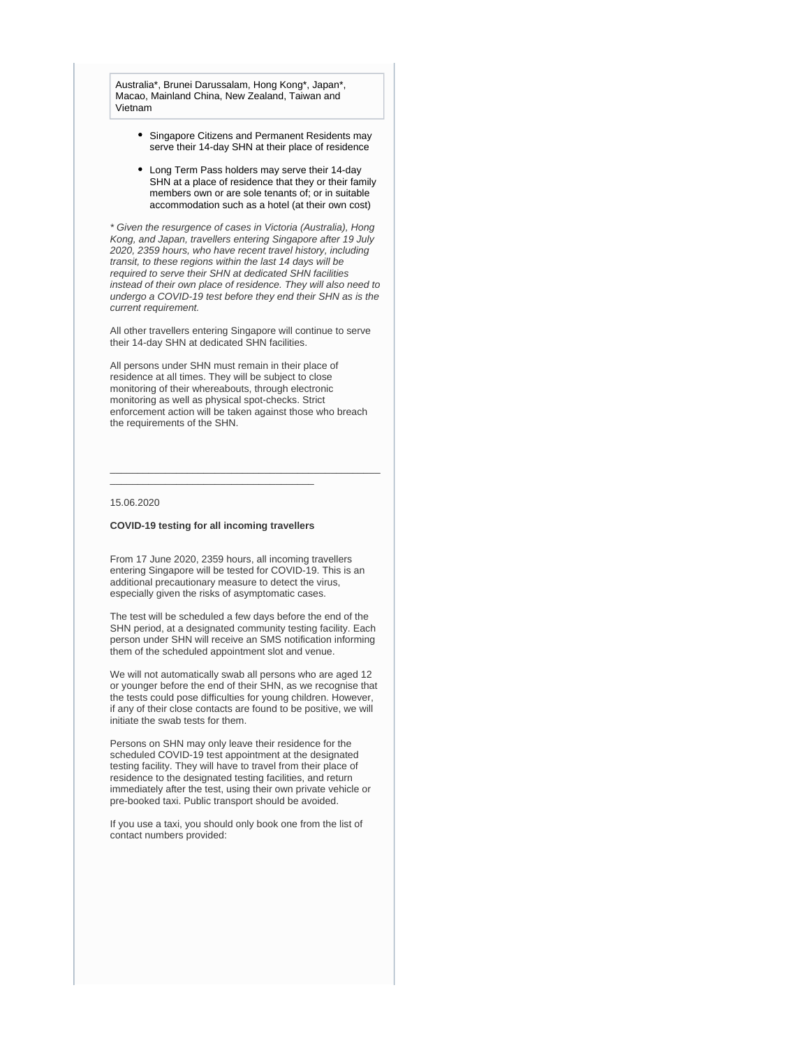Australia\*, Brunei Darussalam, Hong Kong\*, Japan\*, Macao, Mainland China, New Zealand, Taiwan and Vietnam

- Singapore Citizens and Permanent Residents may serve their 14-day SHN at their place of residence
- Long Term Pass holders may serve their 14-day SHN at a place of residence that they or their family members own or are sole tenants of; or in suitable accommodation such as a hotel (at their own cost)

\* Given the resurgence of cases in Victoria (Australia), Hong Kong, and Japan, travellers entering Singapore after 19 July 2020, 2359 hours, who have recent travel history, including transit, to these regions within the last 14 days will be required to serve their SHN at dedicated SHN facilities instead of their own place of residence. They will also need to undergo a COVID-19 test before they end their SHN as is the current requirement.

All other travellers entering Singapore will continue to serve their 14-day SHN at dedicated SHN facilities.

All persons under SHN must remain in their place of residence at all times. They will be subject to close monitoring of their whereabouts, through electronic monitoring as well as physical spot-checks. Strict enforcement action will be taken against those who breach the requirements of the SHN.

\_\_\_\_\_\_\_\_\_\_\_\_\_\_\_\_\_\_\_\_\_\_\_\_\_\_\_\_\_\_\_\_\_\_\_\_\_\_\_\_\_\_\_\_\_\_\_\_\_

#### 15.06.2020

## **COVID-19 testing for all incoming travellers**

\_\_\_\_\_\_\_\_\_\_\_\_\_\_\_\_\_\_\_\_\_\_\_\_\_\_\_\_\_\_\_\_\_\_\_\_\_

From 17 June 2020, 2359 hours, all incoming travellers entering Singapore will be tested for COVID-19. This is an additional precautionary measure to detect the virus, especially given the risks of asymptomatic cases.

The test will be scheduled a few days before the end of the SHN period, at a designated community testing facility. Each person under SHN will receive an SMS notification informing them of the scheduled appointment slot and venue.

We will not automatically swab all persons who are aged 12 or younger before the end of their SHN, as we recognise that the tests could pose difficulties for young children. However, if any of their close contacts are found to be positive, we will initiate the swab tests for them.

Persons on SHN may only leave their residence for the scheduled COVID-19 test appointment at the designated testing facility. They will have to travel from their place of residence to the designated testing facilities, and return immediately after the test, using their own private vehicle or pre-booked taxi. Public transport should be avoided.

If you use a taxi, you should only book one from the list of contact numbers provided: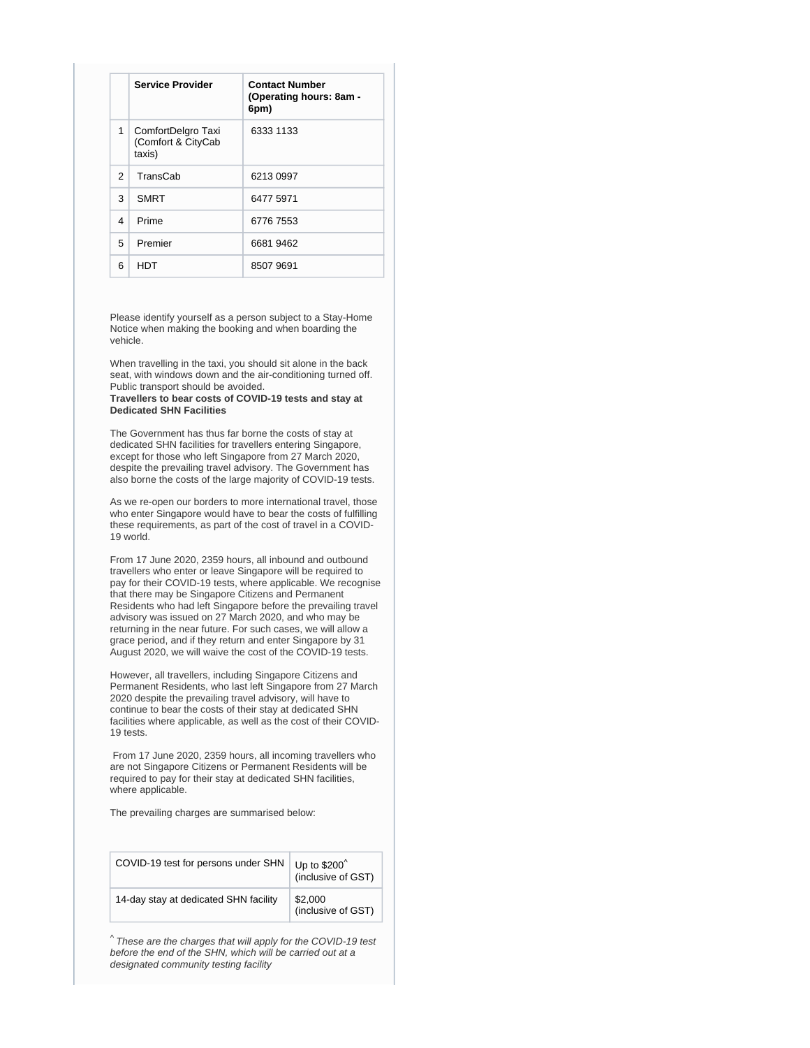|               | <b>Service Provider</b>                            | <b>Contact Number</b><br>(Operating hours: 8am -<br>6pm) |
|---------------|----------------------------------------------------|----------------------------------------------------------|
| $\mathbf{1}$  | ComfortDelgro Taxi<br>(Comfort & CityCab<br>taxis) | 6333 1133                                                |
| $\mathcal{P}$ | <b>TransCab</b>                                    | 6213 0997                                                |
| 3             | <b>SMRT</b>                                        | 6477 5971                                                |
| 4             | Prime                                              | 6776 7553                                                |
| 5             | Premier                                            | 6681 9462                                                |
| 6             | HDT                                                | 8507 9691                                                |

Please identify yourself as a person subject to a Stay-Home Notice when making the booking and when boarding the vehicle.

When travelling in the taxi, you should sit alone in the back seat, with windows down and the air-conditioning turned off. Public transport should be avoided.

**Travellers to bear costs of COVID-19 tests and stay at Dedicated SHN Facilities**

The Government has thus far borne the costs of stay at dedicated SHN facilities for travellers entering Singapore, except for those who left Singapore from 27 March 2020, despite the prevailing travel advisory. The Government has also borne the costs of the large majority of COVID-19 tests.

As we re-open our borders to more international travel, those who enter Singapore would have to bear the costs of fulfilling these requirements, as part of the cost of travel in a COVID-19 world.

From 17 June 2020, 2359 hours, all inbound and outbound travellers who enter or leave Singapore will be required to pay for their COVID-19 tests, where applicable. We recognise that there may be Singapore Citizens and Permanent Residents who had left Singapore before the prevailing travel advisory was issued on 27 March 2020, and who may be returning in the near future. For such cases, we will allow a grace period, and if they return and enter Singapore by 31 August 2020, we will waive the cost of the COVID-19 tests.

However, all travellers, including Singapore Citizens and Permanent Residents, who last left Singapore from 27 March 2020 despite the prevailing travel advisory, will have to continue to bear the costs of their stay at dedicated SHN facilities where applicable, as well as the cost of their COVID-19 tests.

From 17 June 2020, 2359 hours, all incoming travellers who are not Singapore Citizens or Permanent Residents will be required to pay for their stay at dedicated SHN facilities, where applicable.

The prevailing charges are summarised below:

| COVID-19 test for persons under SHN   | Up to \$200 <sup>^</sup><br>(inclusive of GST) |
|---------------------------------------|------------------------------------------------|
| 14-day stay at dedicated SHN facility | \$2,000<br>(inclusive of GST)                  |

 $^{\wedge}$  These are the charges that will apply for the COVID-19 test before the end of the SHN, which will be carried out at a designated community testing facility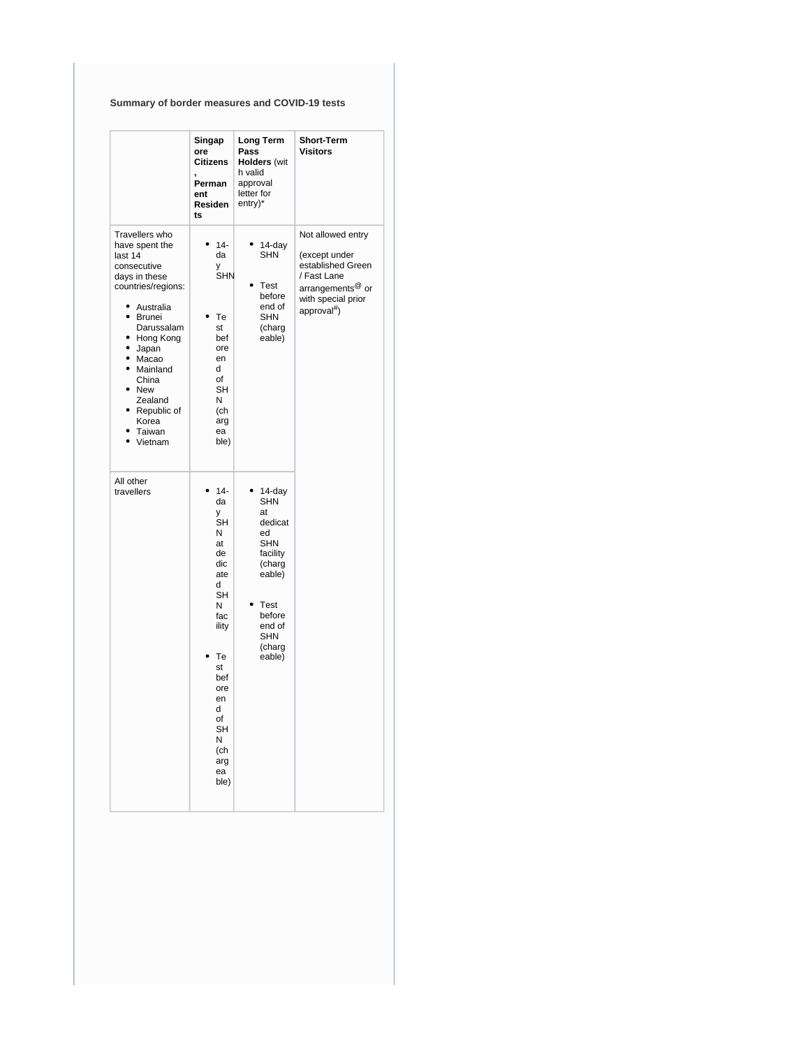## **Summary of border measures and COVID-19 tests**

|                                                                                                                                                                                                                                                                                                                                    | Singap<br>ore<br><b>Citizens</b><br>Perman<br>ent<br>Residen<br>ts                                                                                                       | Long Term<br>Pass<br><b>Holders (wit</b><br>h valid<br>approval<br>letter for<br>entry)*                                                                       | <b>Short-Term</b><br><b>Visitors</b>                                                                                                           |
|------------------------------------------------------------------------------------------------------------------------------------------------------------------------------------------------------------------------------------------------------------------------------------------------------------------------------------|--------------------------------------------------------------------------------------------------------------------------------------------------------------------------|----------------------------------------------------------------------------------------------------------------------------------------------------------------|------------------------------------------------------------------------------------------------------------------------------------------------|
| Travellers who<br>have spent the<br>last 14<br>consecutive<br>days in these<br>countries/regions:<br>$\bullet$<br>Australia<br>$\bullet$<br><b>Brunei</b><br>Darussalam<br>٠<br>Hong Kong<br>$\bullet$<br>Japan<br>٠<br>Macao<br>٠<br>Mainland<br>China<br>٠<br><b>New</b><br>Zealand<br>Republic of<br>Korea<br>Taiwan<br>Vietnam | $14 -$<br>$\bullet$<br>da<br>у<br>SHN<br>Te<br>st<br>bef<br>ore<br>en<br>d<br>of<br>SН<br>N<br>(ch<br>arg<br>ea<br>ble)                                                  | $14$ -day<br>٠<br>SHN<br>Test<br>before<br>end of<br><b>SHN</b><br>(charg<br>eable)                                                                            | Not allowed entry<br>(except under<br>established Green<br>/ Fast Lane<br>arrangements <sup>@</sup> or<br>with special prior<br>approval $#$ ) |
| All other<br>travellers                                                                                                                                                                                                                                                                                                            | $14 -$<br>da<br>y<br>SH<br>Ν<br>at<br>de<br>dic<br>ate<br>d<br>SH<br>Ν<br>fac<br>ility<br>Te<br>st<br>bef<br>ore<br>en<br>d<br>of<br>SH<br>Ν<br>(ch<br>arg<br>ea<br>ble) | 14-day<br><b>SHN</b><br>at<br>dedicat<br>ed<br><b>SHN</b><br>facility<br>(charg<br>eable)<br><b>Test</b><br>before<br>end of<br><b>SHN</b><br>(charg<br>eable) |                                                                                                                                                |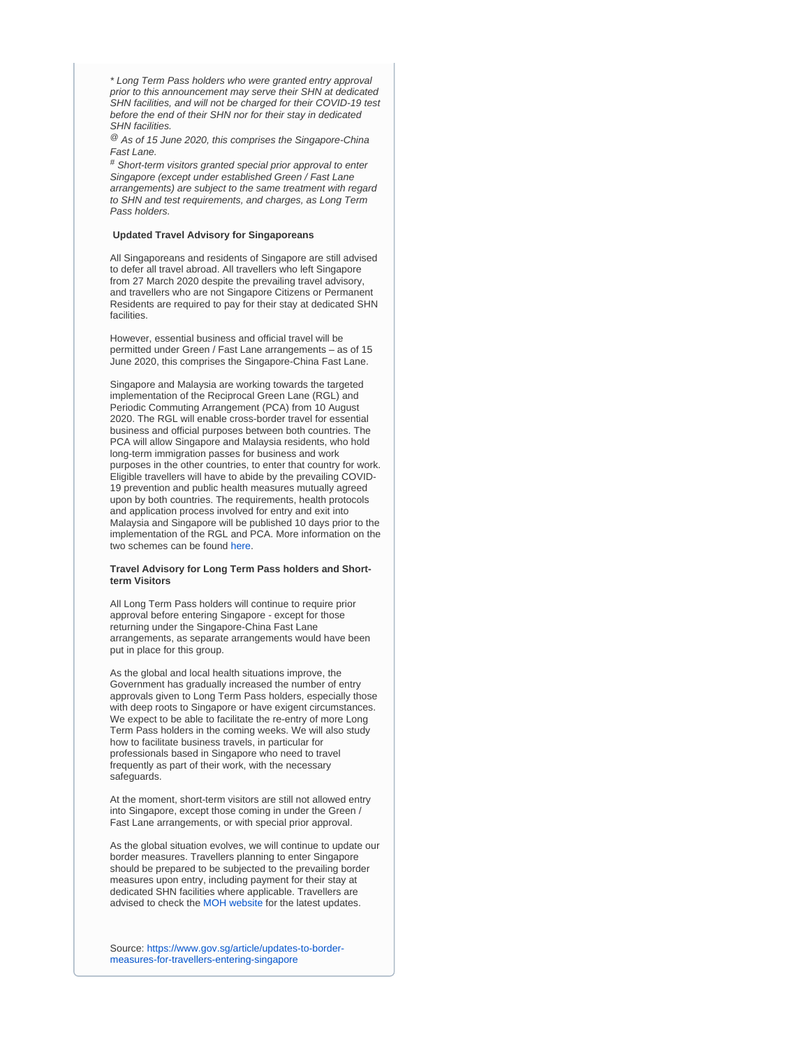\* Long Term Pass holders who were granted entry approval prior to this announcement may serve their SHN at dedicated SHN facilities, and will not be charged for their COVID-19 test before the end of their SHN nor for their stay in dedicated SHN facilities.

 $^{\circledR}$  As of 15 June 2020, this comprises the Singapore-China Fast Lane.

# Short-term visitors granted special prior approval to enter Singapore (except under established Green / Fast Lane arrangements) are subject to the same treatment with regard to SHN and test requirements, and charges, as Long Term Pass holders.

## **Updated Travel Advisory for Singaporeans**

All Singaporeans and residents of Singapore are still advised to defer all travel abroad. All travellers who left Singapore from 27 March 2020 despite the prevailing travel advisory, and travellers who are not Singapore Citizens or Permanent Residents are required to pay for their stay at dedicated SHN facilities.

However, essential business and official travel will be permitted under Green / Fast Lane arrangements – as of 15 June 2020, this comprises the Singapore-China Fast Lane.

Singapore and Malaysia are working towards the targeted implementation of the Reciprocal Green Lane (RGL) and Periodic Commuting Arrangement (PCA) from 10 August 2020. The RGL will enable cross-border travel for essential business and official purposes between both countries. The PCA will allow Singapore and Malaysia residents, who hold long-term immigration passes for business and work purposes in the other countries, to enter that country for work. Eligible travellers will have to abide by the prevailing COVID-19 prevention and public health measures mutually agreed upon by both countries. The requirements, health protocols and application process involved for entry and exit into Malaysia and Singapore will be published 10 days prior to the implementation of the RGL and PCA. More information on the two schemes can be found [here.](https://www.mfa.gov.sg/Newsroom/Press-Statements-Transcripts-and-Photos/2020/07/20200714-Joint-Press-Statement)

## **Travel Advisory for Long Term Pass holders and Shortterm Visitors**

All Long Term Pass holders will continue to require prior approval before entering Singapore - except for those returning under the Singapore-China Fast Lane arrangements, as separate arrangements would have been put in place for this group.

As the global and local health situations improve, the Government has gradually increased the number of entry approvals given to Long Term Pass holders, especially those with deep roots to Singapore or have exigent circumstances. We expect to be able to facilitate the re-entry of more Long Term Pass holders in the coming weeks. We will also study how to facilitate business travels, in particular for professionals based in Singapore who need to travel frequently as part of their work, with the necessary safeguards.

At the moment, short-term visitors are still not allowed entry into Singapore, except those coming in under the Green / Fast Lane arrangements, or with special prior approval.

As the global situation evolves, we will continue to update our border measures. Travellers planning to enter Singapore should be prepared to be subjected to the prevailing border measures upon entry, including payment for their stay at dedicated SHN facilities where applicable. Travellers are advised to check the [MOH website](https://www.moh.gov.sg/covid-19) for the latest updates.

Source: [https://www.gov.sg/article/updates-to-border](https://www.gov.sg/article/updates-to-border-measures-for-travellers-entering-singapore)[measures-for-travellers-entering-singapore](https://www.gov.sg/article/updates-to-border-measures-for-travellers-entering-singapore)

ന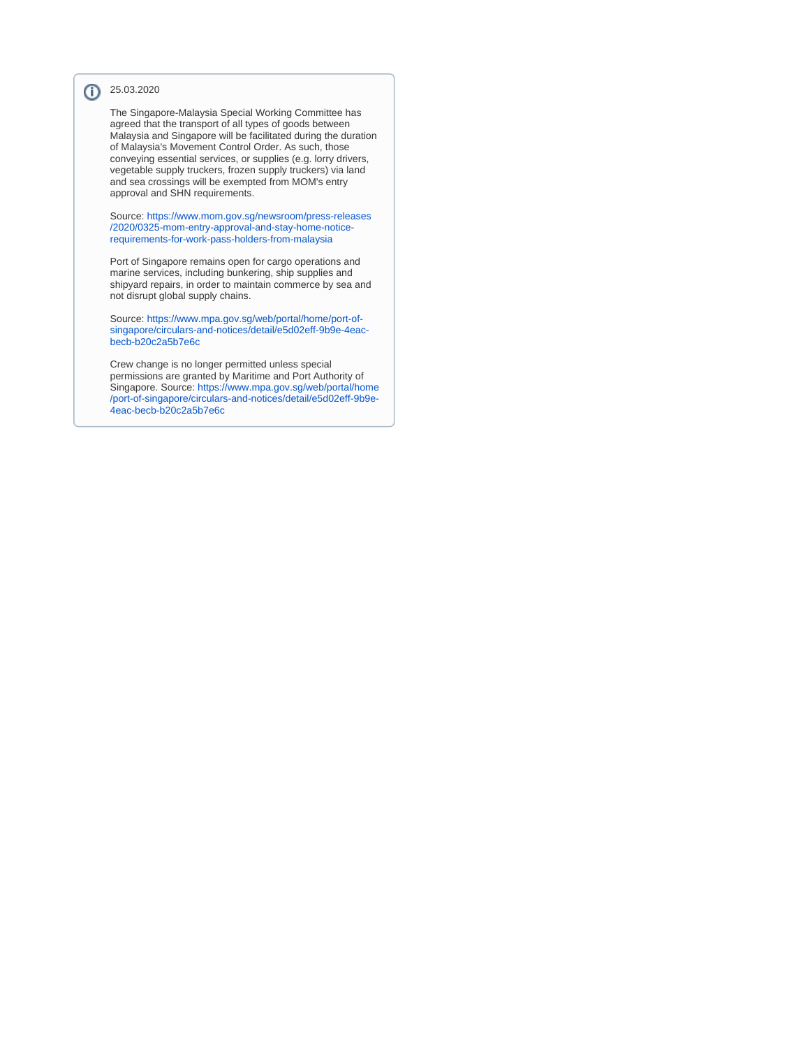## 25.03.2020

The Singapore-Malaysia Special Working Committee has agreed that the transport of all types of goods between Malaysia and Singapore will be facilitated during the duration of Malaysia's Movement Control Order. As such, those conveying essential services, or supplies (e.g. lorry drivers, vegetable supply truckers, frozen supply truckers) via land and sea crossings will be exempted from MOM's entry approval and SHN requirements.

Source: [https://www.mom.gov.sg/newsroom/press-releases](https://www.mom.gov.sg/newsroom/press-releases/2020/0325-mom-entry-approval-and-stay-home-notice-requirements-for-work-pass-holders-from-malaysia) [/2020/0325-mom-entry-approval-and-stay-home-notice](https://www.mom.gov.sg/newsroom/press-releases/2020/0325-mom-entry-approval-and-stay-home-notice-requirements-for-work-pass-holders-from-malaysia)[requirements-for-work-pass-holders-from-malaysia](https://www.mom.gov.sg/newsroom/press-releases/2020/0325-mom-entry-approval-and-stay-home-notice-requirements-for-work-pass-holders-from-malaysia)

Port of Singapore remains open for cargo operations and marine services, including bunkering, ship supplies and shipyard repairs, in order to maintain commerce by sea and not disrupt global supply chains.

Source: [https://www.mpa.gov.sg/web/portal/home/port-of](https://www.mpa.gov.sg/web/portal/home/port-of-singapore/circulars-and-notices/detail/e5d02eff-9b9e-4eac-becb-b20c2a5b7e6c)[singapore/circulars-and-notices/detail/e5d02eff-9b9e-4eac](https://www.mpa.gov.sg/web/portal/home/port-of-singapore/circulars-and-notices/detail/e5d02eff-9b9e-4eac-becb-b20c2a5b7e6c)[becb-b20c2a5b7e6c](https://www.mpa.gov.sg/web/portal/home/port-of-singapore/circulars-and-notices/detail/e5d02eff-9b9e-4eac-becb-b20c2a5b7e6c)

Crew change is no longer permitted unless special permissions are granted by Maritime and Port Authority of Singapore. Source: [https://www.mpa.gov.sg/web/portal/home](https://www.mpa.gov.sg/web/portal/home/port-of-singapore/circulars-and-notices/detail/e5d02eff-9b9e-4eac-becb-b20c2a5b7e6c) [/port-of-singapore/circulars-and-notices/detail/e5d02eff-9b9e-](https://www.mpa.gov.sg/web/portal/home/port-of-singapore/circulars-and-notices/detail/e5d02eff-9b9e-4eac-becb-b20c2a5b7e6c)[4eac-becb-b20c2a5b7e6c](https://www.mpa.gov.sg/web/portal/home/port-of-singapore/circulars-and-notices/detail/e5d02eff-9b9e-4eac-becb-b20c2a5b7e6c)